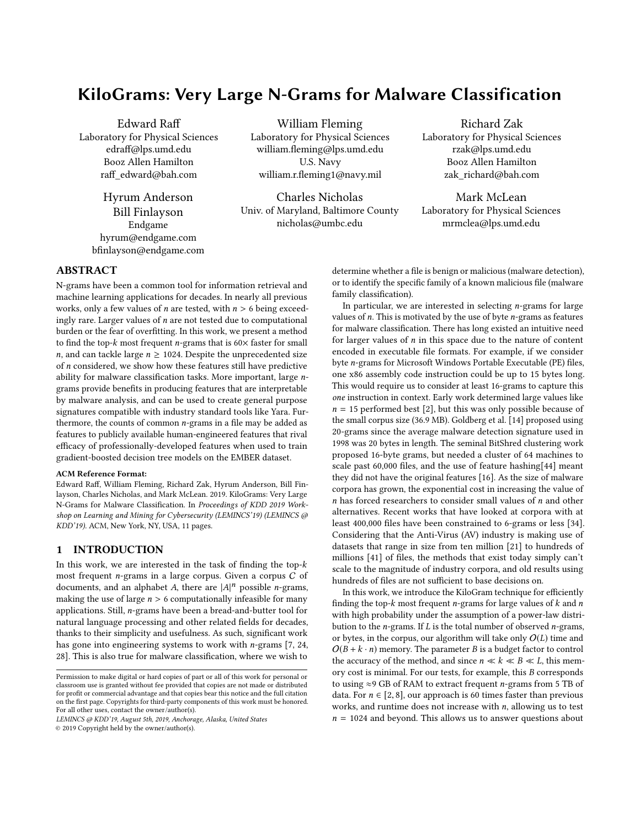# KiloGrams: Very Large N-Grams for Malware Classification

Edward Raff Laboratory for Physical Sciences edraff@lps.umd.edu Booz Allen Hamilton raff\_edward@bah.com

> Hyrum Anderson Bill Finlayson Endgame hyrum@endgame.com bfinlayson@endgame.com

William Fleming Laboratory for Physical Sciences william.fleming@lps.umd.edu U.S. Navy william.r.fleming1@navy.mil

Charles Nicholas Univ. of Maryland, Baltimore County nicholas@umbc.edu

Richard Zak Laboratory for Physical Sciences rzak@lps.umd.edu Booz Allen Hamilton zak\_richard@bah.com

Mark McLean Laboratory for Physical Sciences mrmclea@lps.umd.edu

# ABSTRACT

N-grams have been a common tool for information retrieval and machine learning applications for decades. In nearly all previous works, only a few values of *n* are tested, with  $n > 6$  being exceedingly rare. Larger values of n are not tested due to computational burden or the fear of overfitting. In this work, we present a method to find the top- $k$  most frequent *n*-grams that is  $60 \times$  faster for small *n*, and can tackle large  $n \ge 1024$ . Despite the unprecedented size of n considered, we show how these features still have predictive ability for malware classification tasks. More important, large ngrams provide benefits in producing features that are interpretable by malware analysis, and can be used to create general purpose signatures compatible with industry standard tools like Yara. Furthermore, the counts of common  $n$ -grams in a file may be added as features to publicly available human-engineered features that rival efficacy of professionally-developed features when used to train gradient-boosted decision tree models on the EMBER dataset.

#### ACM Reference Format:

Edward Raff, William Fleming, Richard Zak, Hyrum Anderson, Bill Finlayson, Charles Nicholas, and Mark McLean. 2019. KiloGrams: Very Large N-Grams for Malware Classification. In Proceedings of KDD 2019 Workshop on Learning and Mining for Cybersecurity (LEMINCS'19) (LEMINCS @ KDD'19). ACM, New York, NY, USA, 11 pages.

#### 1 INTRODUCTION

In this work, we are interested in the task of finding the top- $k$ most frequent n-grams in a large corpus. Given a corpus <sup>C</sup> of documents, and an alphabet A, there are  $|A|^n$  possible *n*-grams,<br>making the use of large  $n > 6$  computationally infeasible for many making the use of large  $n > 6$  computationally infeasible for many applications. Still, n-grams have been a bread-and-butter tool for natural language processing and other related fields for decades, thanks to their simplicity and usefulness. As such, significant work has gone into engineering systems to work with n-grams [7, 24, 28]. This is also true for malware classification, where we wish to

© 2019 Copyright held by the owner/author(s).

determine whether a file is benign or malicious (malware detection), or to identify the specific family of a known malicious file (malware family classification).

In particular, we are interested in selecting  $n$ -grams for large values of  $n$ . This is motivated by the use of byte  $n$ -grams as features for malware classification. There has long existed an intuitive need for larger values of  $n$  in this space due to the nature of content encoded in executable file formats. For example, if we consider byte n-grams for Microsoft Windows Portable Executable (PE) files, one x86 assembly code instruction could be up to 15 bytes long. This would require us to consider at least 16-grams to capture this one instruction in context. Early work determined large values like  $n = 15$  performed best [2], but this was only possible because of the small corpus size (36.9 MB). Goldberg et al. [14] proposed using 20-grams since the average malware detection signature used in 1998 was 20 bytes in length. The seminal BitShred clustering work proposed 16-byte grams, but needed a cluster of 64 machines to scale past 60,000 files, and the use of feature hashing[44] meant they did not have the original features [16]. As the size of malware corpora has grown, the exponential cost in increasing the value of  $n$  has forced researchers to consider small values of  $n$  and other alternatives. Recent works that have looked at corpora with at least 400,000 files have been constrained to 6-grams or less [34]. Considering that the Anti-Virus (AV) industry is making use of datasets that range in size from ten million [21] to hundreds of millions [41] of files, the methods that exist today simply can't scale to the magnitude of industry corpora, and old results using hundreds of files are not sufficient to base decisions on.

In this work, we introduce the KiloGram technique for efficiently finding the top- $k$  most frequent *n*-grams for large values of  $k$  and  $n$ with high probability under the assumption of a power-law distribution to the *n*-grams. If  $L$  is the total number of observed *n*-grams, or bytes, in the corpus, our algorithm will take only  $O(L)$  time and  $O(B + k \cdot n)$  memory. The parameter B is a budget factor to control the accuracy of the method, and since  $n \ll k \ll B \ll L$ , this memory cost is minimal. For our tests, for example, this B corresponds to using  $\approx$ 9 GB of RAM to extract frequent *n*-grams from 5 TB of data. For  $n \in [2, 8]$ , our approach is 60 times faster than previous works, and runtime does not increase with  $n$ , allowing us to test  $n = 1024$  and beyond. This allows us to answer questions about

Permission to make digital or hard copies of part or all of this work for personal or classroom use is granted without fee provided that copies are not made or distributed for profit or commercial advantage and that copies bear this notice and the full citation on the first page. Copyrights for third-party components of this work must be honored. For all other uses, contact the owner/author(s).

LEMINCS @ KDD'19, August 5th, 2019, Anchorage, Alaska, United States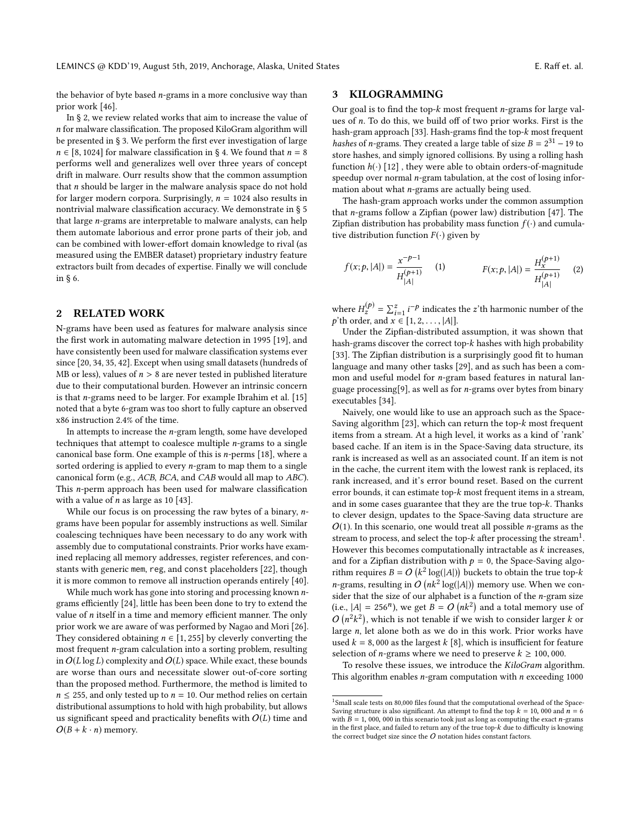the behavior of byte based  $n$ -grams in a more conclusive way than prior work [46].

In § 2, we review related works that aim to increase the value of n for malware classification. The proposed KiloGram algorithm will be presented in § 3. We perform the first ever investigation of large  $n \in [8, 1024]$  for malware classification in § 4. We found that  $n = 8$ performs well and generalizes well over three years of concept drift in malware. Ourr results show that the common assumption that n should be larger in the malware analysis space do not hold for larger modern corpora. Surprisingly,  $n = 1024$  also results in nontrivial malware classification accuracy. We demonstrate in § 5 that large n-grams are interpretable to malware analysts, can help them automate laborious and error prone parts of their job, and can be combined with lower-effort domain knowledge to rival (as measured using the EMBER dataset) proprietary industry feature extractors built from decades of expertise. Finally we will conclude in § 6.

#### 2 RELATED WORK

N-grams have been used as features for malware analysis since the first work in automating malware detection in 1995 [19], and have consistently been used for malware classification systems ever since [20, 34, 35, 42]. Except when using small datasets (hundreds of MB or less), values of  $n > 8$  are never tested in published literature due to their computational burden. However an intrinsic concern is that n-grams need to be larger. For example Ibrahim et al. [15] noted that a byte 6-gram was too short to fully capture an observed x86 instruction 2.4% of the time.

In attempts to increase the n-gram length, some have developed techniques that attempt to coalesce multiple n-grams to a single canonical base form. One example of this is n-perms [18], where a sorted ordering is applied to every n-gram to map them to a single canonical form (e.g., ACB, BCA, and CAB would all map to ABC). This n-perm approach has been used for malware classification with a value of  $n$  as large as 10 [43].

While our focus is on processing the raw bytes of a binary, ngrams have been popular for assembly instructions as well. Similar coalescing techniques have been necessary to do any work with assembly due to computational constraints. Prior works have examined replacing all memory addresses, register references, and constants with generic mem, reg, and const placeholders [22], though it is more common to remove all instruction operands entirely [40].

While much work has gone into storing and processing known ngrams efficiently [24], little has been been done to try to extend the value of  $n$  itself in a time and memory efficient manner. The only prior work we are aware of was performed by Nagao and Mori [26]. They considered obtaining  $n \in [1, 255]$  by cleverly converting the most frequent n-gram calculation into a sorting problem, resulting in  $O(L \log L)$  complexity and  $O(L)$  space. While exact, these bounds are worse than ours and necessitate slower out-of-core sorting than the proposed method. Furthermore, the method is limited to  $n \leq 255$ , and only tested up to  $n = 10$ . Our method relies on certain distributional assumptions to hold with high probability, but allows us significant speed and practicality benefits with  $O(L)$  time and  $O(B + k \cdot n)$  memory.

## 3 KILOGRAMMING

Our goal is to find the top- $k$  most frequent *n*-grams for large values of n. To do this, we build off of two prior works. First is the hash-gram approach [33]. Hash-grams find the top-k most frequent hashes of n-grams. They created a large table of size  $B = 2^{31} - 19$  to store hashes, and simply ignored collisions. By using a rolling hash store hashes, and simply ignored collisions. By using a rolling hash function  $h(\cdot)$  [12], they were able to obtain orders-of-magnitude speedup over normal  $n$ -gram tabulation, at the cost of losing information about what n-grams are actually being used.

The hash-gram approach works under the common assumption that n-grams follow a Zipfian (power law) distribution [47]. The Zipfian distribution has probability mass function  $f(\cdot)$  and cumulative distribution function  $F(\cdot)$  given by

$$
f(x; p, |A|) = \frac{x^{-p-1}}{H_{|A|}^{(p+1)}} \qquad (1) \qquad F(x; p, |A|) = \frac{H_x^{(p+1)}}{H_{|A|}^{(p+1)}} \qquad (2)
$$

where  $H_z^{(p)} = \sum_{i=1}^z i^{-p}$  indicates the z'th harmonic number of the n'th order and  $x \in [1, 2, \ldots, 14]$ where  $n_z = \sum_{i=1}^{\infty} i^{-x}$  indicates<br>p'th order, and  $x \in [1, 2, ..., |A|]$ .<br>Index the Zinfian-distributed

Under the Zipfian-distributed assumption, it was shown that hash-grams discover the correct top-k hashes with high probability [33]. The Zipfian distribution is a surprisingly good fit to human language and many other tasks [29], and as such has been a common and useful model for n-gram based features in natural language processing[9], as well as for n-grams over bytes from binary executables [34].

Naively, one would like to use an approach such as the Space-Saving algorithm [23], which can return the top- $k$  most frequent items from a stream. At a high level, it works as a kind of 'rank' based cache. If an item is in the Space-Saving data structure, its rank is increased as well as an associated count. If an item is not in the cache, the current item with the lowest rank is replaced, its rank increased, and it's error bound reset. Based on the current error bounds, it can estimate top- $k$  most frequent items in a stream, and in some cases guarantee that they are the true top-k. Thanks to clever design, updates to the Space-Saving data structure are  $O(1)$ . In this scenario, one would treat all possible *n*-grams as the stream to process, and select the top- $k$  after processing the stream<sup>1</sup>.<br>However this becomes computationally intractable as  $k$  increases. However this becomes computationally intractable as  $k$  increases, and for a Zipfian distribution with  $p = 0$ , the Space-Saving algorithm requires  $B = O\left(k^2 \log(|A|)\right)$  buckets to obtain the true top-k<br>n grome resulting in  $O\left(\frac{n k^2 \log(|A|)}{n}\right)$  memory use When we can *n*-grams, resulting in  $O\left(nk^2\log(|A|)\right)$  memory use. When we con-<br>sider that the size of our alphabet is a function of the n-gram size sider that the size of our alphabet is a function of the  $n$ -gram size (i.e.,  $|A| = 256^n$ ), we get  $B = O(nk^2)$  and a total memory use of  $O(n^2k^2)$  which is not topold if we wish to consider larger k and  $O(n^2k^2)$ , which is not tenable if we wish to consider larger k or<br>large n let alone both as we do in this work. Prior works have large n, let alone both as we do in this work. Prior works have<br>used  $k = 8,000$  as the largest k [8], which is insufficient for feature used  $k = 8,000$  as the largest  $k$  [8], which is insufficient for feature selection of *n*-grams where we need to preserve  $k \ge 100,000$ .

To resolve these issues, we introduce the KiloGram algorithm. This algorithm enables  $n$ -gram computation with  $n$  exceeding 1000

<sup>&</sup>lt;sup>1</sup>Small scale tests on 80,000 files found that the computational overhead of the Space-Saving structure is also significant. An attempt to find the top  $k = 10$ , 000 and  $n = 6$ with  $\overline{B} = 1$ , 000, 000 in this scenario took just as long as computing the exact *n*-grams in the first place, and failed to return any of the true top- $k$  due to difficulty is knowing the correct budget size since the  $O$  notation hides constant factors.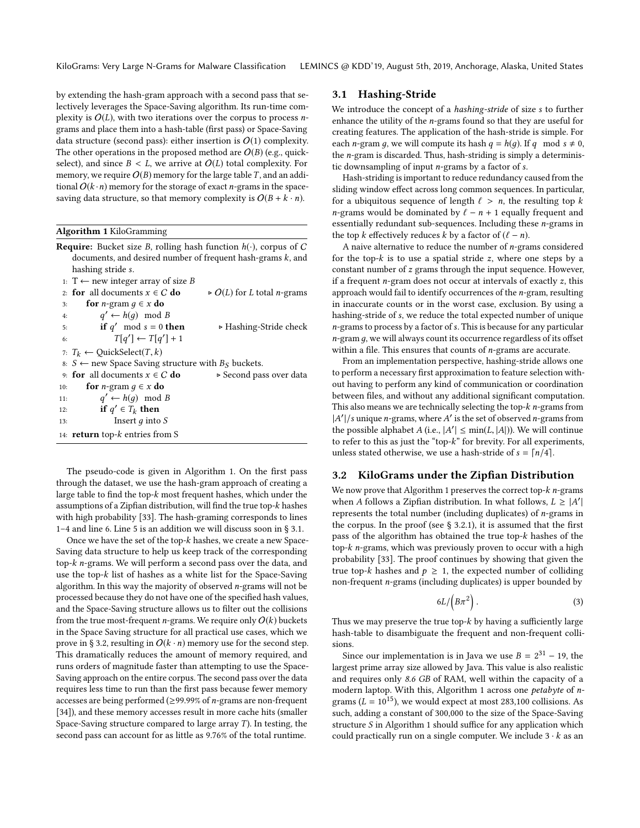by extending the hash-gram approach with a second pass that selectively leverages the Space-Saving algorithm. Its run-time complexity is  $O(L)$ , with two iterations over the corpus to process *n*grams and place them into a hash-table (first pass) or Space-Saving data structure (second pass): either insertion is  $O(1)$  complexity. The other operations in the proposed method are  $O(B)$  (e.g., quickselect), and since  $B < L$ , we arrive at  $O(L)$  total complexity. For memory, we require  $O(B)$  memory for the large table T, and an additional  $O(k \cdot n)$  memory for the storage of exact *n*-grams in the spacesaving data structure, so that memory complexity is  $O(B + k \cdot n)$ .

| <b>Algorithm 1</b> KiloGramming |  |  |  |
|---------------------------------|--|--|--|
|---------------------------------|--|--|--|

| <b>Require:</b> Bucket size B, rolling hash function $h(\cdot)$ , corpus of C |                                                                |                                                   |  |  |  |  |  |  |  |
|-------------------------------------------------------------------------------|----------------------------------------------------------------|---------------------------------------------------|--|--|--|--|--|--|--|
|                                                                               | documents, and desired number of frequent hash-grams $k$ , and |                                                   |  |  |  |  |  |  |  |
|                                                                               | hashing stride s.                                              |                                                   |  |  |  |  |  |  |  |
|                                                                               | 1: T ← new integer array of size B                             |                                                   |  |  |  |  |  |  |  |
|                                                                               | 2: for all documents $x \in C$ do                              | $\triangleright$ O(L) for L total <i>n</i> -grams |  |  |  |  |  |  |  |
| 3:                                                                            | for <i>n</i> -gram $q \in x$ do                                |                                                   |  |  |  |  |  |  |  |
| 4:                                                                            | $q' \leftarrow h(q) \mod B$                                    |                                                   |  |  |  |  |  |  |  |
| 5:                                                                            | if q' mod $s = 0$ then                                         | ► Hashing-Stride check                            |  |  |  |  |  |  |  |
| 6:                                                                            | $T[q'] \leftarrow T[q'] + 1$                                   |                                                   |  |  |  |  |  |  |  |
|                                                                               | 7: $T_k \leftarrow$ QuickSelect(T, k)                          |                                                   |  |  |  |  |  |  |  |
|                                                                               | 8: <i>S</i> ← new Space Saving structure with $B_s$ buckets.   |                                                   |  |  |  |  |  |  |  |
|                                                                               | 9: for all documents $x \in C$ do                              | ► Second pass over data                           |  |  |  |  |  |  |  |
| 10:                                                                           | for <i>n</i> -gram $q \in x$ do                                |                                                   |  |  |  |  |  |  |  |
| 11:                                                                           | $q' \leftarrow h(q) \mod B$                                    |                                                   |  |  |  |  |  |  |  |
| 12:                                                                           | if $q' \in T_k$ then                                           |                                                   |  |  |  |  |  |  |  |
| 13:                                                                           | Insert $q$ into $S$                                            |                                                   |  |  |  |  |  |  |  |
|                                                                               | 14: <b>return</b> top- $k$ entries from S                      |                                                   |  |  |  |  |  |  |  |

The pseudo-code is given in Algorithm 1. On the first pass through the dataset, we use the hash-gram approach of creating a large table to find the top-k most frequent hashes, which under the assumptions of a Zipfian distribution, will find the true top-k hashes with high probability [33]. The hash-graming corresponds to lines 1–4 and line 6. Line 5 is an addition we will discuss soon in § 3.1.

Once we have the set of the top-k hashes, we create a new Space-Saving data structure to help us keep track of the corresponding top-k n-grams. We will perform a second pass over the data, and use the top-k list of hashes as a white list for the Space-Saving algorithm. In this way the majority of observed n-grams will not be processed because they do not have one of the specified hash values, and the Space-Saving structure allows us to filter out the collisions from the true most-frequent *n*-grams. We require only  $O(k)$  buckets in the Space Saving structure for all practical use cases, which we prove in § 3.2, resulting in  $O(k \cdot n)$  memory use for the second step. This dramatically reduces the amount of memory required, and runs orders of magnitude faster than attempting to use the Space-Saving approach on the entire corpus. The second pass over the data requires less time to run than the first pass because fewer memory accesses are being performed ( $\geq$ 99.99% of *n*-grams are non-frequent [34]), and these memory accesses result in more cache hits (smaller Space-Saving structure compared to large array  $T$ ). In testing, the second pass can account for as little as 9.76% of the total runtime.

#### 3.1 Hashing-Stride

We introduce the concept of a hashing-stride of size s to further enhance the utility of the n-grams found so that they are useful for creating features. The application of the hash-stride is simple. For each *n*-gram q, we will compute its hash  $q = h(q)$ . If q mod  $s \neq 0$ , the n-gram is discarded. Thus, hash-striding is simply a deterministic downsampling of input  $n$ -grams by a factor of  $s$ .

Hash-striding is important to reduce redundancy caused from the sliding window effect across long common sequences. In particular, for a ubiquitous sequence of length  $\ell > n$ , the resulting top k n-grams would be dominated by  $\ell - n + 1$  equally frequent and essentially redundant sub-sequences. Including these n-grams in the top k effectively reduces k by a factor of  $(\ell - n)$ .

A naive alternative to reduce the number of n-grams considered for the top- $k$  is to use a spatial stride  $z$ , where one steps by a constant number of z grams through the input sequence. However, if a frequent  $n$ -gram does not occur at intervals of exactly  $z$ , this approach would fail to identify occurrences of the n-gram, resulting in inaccurate counts or in the worst case, exclusion. By using a hashing-stride of s, we reduce the total expected number of unique  $n$ -grams to process by a factor of  $s$ . This is because for any particular  $n$ -gram  $q$ , we will always count its occurrence regardless of its offset within a file. This ensures that counts of  $n$ -grams are accurate.

From an implementation perspective, hashing-stride allows one to perform a necessary first approximation to feature selection without having to perform any kind of communication or coordination between files, and without any additional significant computation. This also means we are technically selecting the top- $k$  *n*-grams from  $|A'|/s$  unique *n*-grams, where A' is the set of observed *n*-grams from<br>the possible alphabet A (i.e.,  $|A'| \le \min(I, |A|)$ ). We will continue the possible alphabet  $A$  (i.e.,  $|A'| \le \min(L, |A|)$ ). We will continue to refer to this as just the "top-k" for brewity. For all experiments to refer to this as just the "top- $k$ " for brevity. For all experiments, unless stated otherwise, we use a hash-stride of  $s = \lceil n/4 \rceil$ .

#### 3.2 KiloGrams under the Zipfian Distribution

We now prove that Algorithm 1 preserves the correct top- $k$  *n*-grams when A follows a Zipfian distribution. In what follows,  $L \ge |A'|$ <br>represents the total number (including duplicates) of n-grams is | represents the total number (including duplicates) of n-grams in the corpus. In the proof (see  $\S$  3.2.1), it is assumed that the first pass of the algorithm has obtained the true top-k hashes of the top- $k$  n-grams, which was previously proven to occur with a high probability [33]. The proof continues by showing that given the true top-k hashes and  $p \geq 1$ , the expected number of colliding non-frequent n-grams (including duplicates) is upper bounded by

$$
6L/\left(B\pi^2\right). \tag{3}
$$

Thus we may preserve the true top-k by having a sufficiently large hash-table to disambiguate the frequent and non-frequent collisions.

Since our implementation is in Java we use  $B = 2^{31} - 19$ , the set prime array size allowed by Java. This value is also realistic largest prime array size allowed by Java. This value is also realistic and requires only 8.6 GB of RAM, well within the capacity of a modern laptop. With this, Algorithm 1 across one petabyte of ngrams ( $L = 10^{15}$ ), we would expect at most 283,100 collisions. As such, adding a constant of 300,000 to the size of the Space-Saving structure S in Algorithm 1 should suffice for any application which could practically run on a single computer. We include  $3 \cdot k$  as an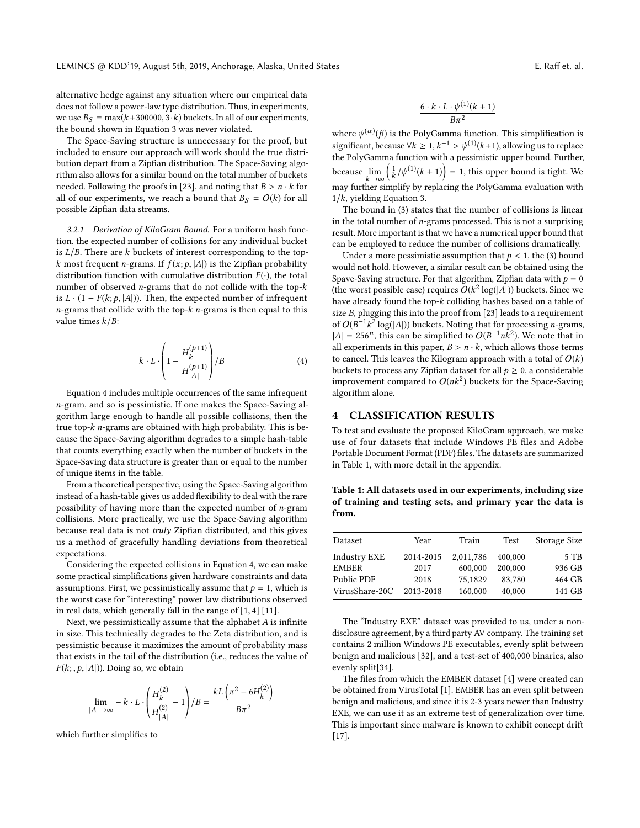alternative hedge against any situation where our empirical data does not follow a power-law type distribution. Thus, in experiments, we use  $B<sub>S</sub> = max(k+300000, 3 \cdot k)$  buckets. In all of our experiments, the bound shown in Equation 3 was never violated.

The Space-Saving structure is unnecessary for the proof, but included to ensure our approach will work should the true distribution depart from a Zipfian distribution. The Space-Saving algorithm also allows for a similar bound on the total number of buckets needed. Following the proofs in [23], and noting that  $B > n \cdot k$  for all of our experiments, we reach a bound that  $B<sub>S</sub> = O(k)$  for all possible Zipfian data streams.

3.2.1 Derivation of KiloGram Bound. For a uniform hash function, the expected number of collisions for any individual bucket is  $L/B$ . There are k buckets of interest corresponding to the topk most frequent n-grams. If  $f(x; p, |A|)$  is the Zipfian probability distribution function with cumulative distribution  $F(\cdot)$ , the total number of observed n-grams that do not collide with the top-k is  $L \cdot (1 - F(k; p, |A|))$ . Then, the expected number of infrequent  $n$ -grams that collide with the top- $k$  n-grams is then equal to this value times  $k/B$ :

$$
k \cdot L \cdot \left(1 - \frac{H_k^{(p+1)}}{H_{|A|}^{(p+1)}}\right) / B \tag{4}
$$

Equation 4 includes multiple occurrences of the same infrequent n-gram, and so is pessimistic. If one makes the Space-Saving algorithm large enough to handle all possible collisions, then the true top-k n-grams are obtained with high probability. This is because the Space-Saving algorithm degrades to a simple hash-table that counts everything exactly when the number of buckets in the Space-Saving data structure is greater than or equal to the number of unique items in the table.

From a theoretical perspective, using the Space-Saving algorithm instead of a hash-table gives us added flexibility to deal with the rare possibility of having more than the expected number of n-gram collisions. More practically, we use the Space-Saving algorithm because real data is not truly Zipfian distributed, and this gives us a method of gracefully handling deviations from theoretical expectations.

Considering the expected collisions in Equation 4, we can make some practical simplifications given hardware constraints and data assumptions. First, we pessimistically assume that  $p = 1$ , which is the worst case for "interesting" power law distributions observed in real data, which generally fall in the range of [1, <sup>4</sup>] [11].

Next, we pessimistically assume that the alphabet A is infinite in size. This technically degrades to the Zeta distribution, and is pessimistic because it maximizes the amount of probability mass that exists in the tail of the distribution (i.e., reduces the value of  $F(k; p, |A|)$ ). Doing so, we obtain

$$
\lim_{|A| \to \infty} -k \cdot L \cdot \left(\frac{H_k^{(2)}}{H_{|A|}^{(2)}} - 1\right) / B = \frac{kL\left(\pi^2 - 6H_k^{(2)}\right)}{B\pi^2}
$$

which further simplifies to

$$
\frac{6 \cdot k \cdot L \cdot \psi^{(1)}(k+1)}{B\pi^2}
$$

where  $\psi^{(\alpha)}(\beta)$  is the PolyGamma function. This simplification is<br>significant because  $\forall k > 1, k^{-1} > \psi^{(1)}(k+1)$  ellewing us to replace significant, because  $\forall k \geq 1, k^{-1} > \psi^{(1)}(k+1)$ , allowing us to replace<br>the PolyGamma function with a pessimistic upper bound. Eurther > ψ the PolyGamma function with a pessimistic upper bound. Further, because  $\lim_{k\to\infty}$ <br>may further si  $\sqrt{1}$  $\frac{1}{k}$ / $\psi^{(1)}(k + 1)$  = 1, this upper bound is tight. We may further simplify by replacing the PolyGamma evaluation with  $1/k$ , yielding Equation 3.

The bound in (3) states that the number of collisions is linear in the total number of  $n$ -grams processed. This is not a surprising result. More important is that we have a numerical upper bound that can be employed to reduce the number of collisions dramatically.

Under a more pessimistic assumption that  $p < 1$ , the (3) bound would not hold. However, a similar result can be obtained using the Spave-Saving structure. For that algorithm, Zipfian data with  $p = 0$ (the worst possible case) requires  $O(k^2 \log(|A|))$  buckets. Since we<br>have already found the top-k colliding bashes based on a table of have already found the top-k colliding hashes based on a table of size B, plugging this into the proof from [23] leads to a requirement of  $O(B^{-1}k^2 \log(|A|))$  buckets. Noting that for processing *n*-grams,<br>|A| – 256<sup>*n*</sup> this can be simplified to  $O(B^{-1}nk^2)$ . We note that in  $|A| = 256^n$ , this can be simplified to  $O(B^{-1}nk^2)$ . We note that in all experiments in this paper  $B \ge n$ , k which allows those terms all experiments in this paper,  $B > n \cdot k$ , which allows those terms to cancel. This leaves the Kilogram approach with a total of  $O(k)$ buckets to process any Zipfian dataset for all  $p \geq 0$ , a considerable improvement compared to  $O(nk^2)$  buckets for the Space-Saving<br>algorithm alone algorithm alone.

#### 4 CLASSIFICATION RESULTS

To test and evaluate the proposed KiloGram approach, we make use of four datasets that include Windows PE files and Adobe Portable Document Format (PDF) files. The datasets are summarized in Table 1, with more detail in the appendix.

Table 1: All datasets used in our experiments, including size of training and testing sets, and primary year the data is from.

| Year      | Train     | Test    | Storage Size |
|-----------|-----------|---------|--------------|
| 2014-2015 | 2.011.786 | 400,000 | 5 TB         |
| 2017      | 600,000   | 200,000 | 936 GB       |
| 2018      | 75.1829   | 83.780  | 464 GB       |
| 2013-2018 | 160,000   | 40.000  | 141 GB       |
|           |           |         |              |

The "Industry EXE" dataset was provided to us, under a nondisclosure agreement, by a third party AV company. The training set contains 2 million Windows PE executables, evenly split between benign and malicious [32], and a test-set of 400,000 binaries, also evenly split[34].

The files from which the EMBER dataset [4] were created can be obtained from VirusTotal [1]. EMBER has an even split between benign and malicious, and since it is 2-3 years newer than Industry EXE, we can use it as an extreme test of generalization over time. This is important since malware is known to exhibit concept drift [17].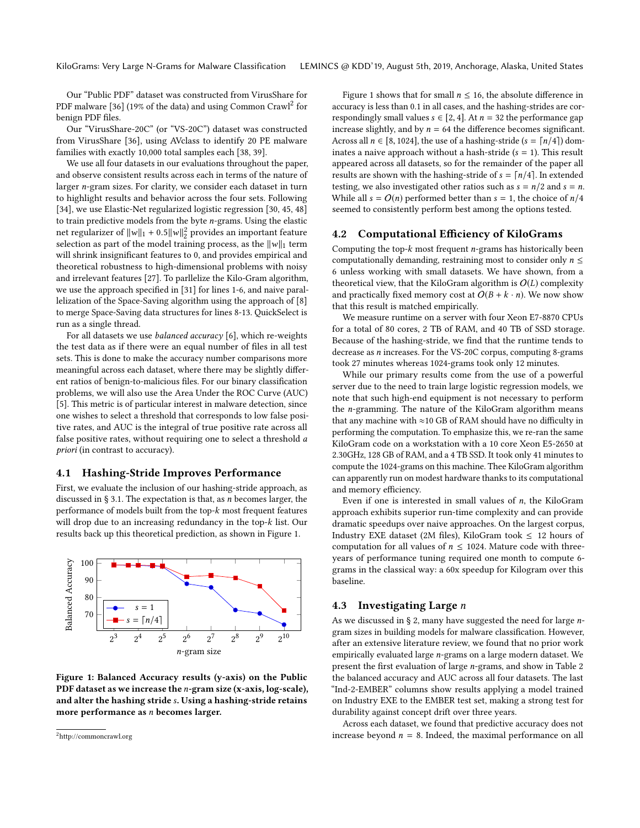Our "Public PDF" dataset was constructed from VirusShare for PDF malware [36] (19% of the data) and using Common Crawl $^2$  for benign PDF files.

Our "VirusShare-20C" (or "VS-20C") dataset was constructed from VirusShare [36], using AVclass to identify 20 PE malware families with exactly 10,000 total samples each [38, 39].

We use all four datasets in our evaluations throughout the paper, and observe consistent results across each in terms of the nature of larger n-gram sizes. For clarity, we consider each dataset in turn to highlight results and behavior across the four sets. Following [34], we use Elastic-Net regularized logistic regression [30, 45, 48] to train predictive models from the byte  $n$ -grams. Using the elastic net regularizer of  $||w||_1 + 0.5||w||_2^2$  provides an important feature<br>selection as part of the model training process, as the llully term selection as part of the model training process, as the  $||w||_1$  term will shrink insignificant features to 0, and provides empirical and theoretical robustness to high-dimensional problems with noisy and irrelevant features [27]. To parllelize the Kilo-Gram algorithm, we use the approach specified in [31] for lines 1-6, and naive parallelization of the Space-Saving algorithm using the approach of [8] to merge Space-Saving data structures for lines 8-13. QuickSelect is run as a single thread.

For all datasets we use balanced accuracy [6], which re-weights the test data as if there were an equal number of files in all test sets. This is done to make the accuracy number comparisons more meaningful across each dataset, where there may be slightly different ratios of benign-to-malicious files. For our binary classification problems, we will also use the Area Under the ROC Curve (AUC) [5]. This metric is of particular interest in malware detection, since one wishes to select a threshold that corresponds to low false positive rates, and AUC is the integral of true positive rate across all false positive rates, without requiring one to select a threshold a priori (in contrast to accuracy).

### 4.1 Hashing-Stride Improves Performance

First, we evaluate the inclusion of our hashing-stride approach, as discussed in  $\S 3.1$ . The expectation is that, as *n* becomes larger, the performance of models built from the top-k most frequent features will drop due to an increasing redundancy in the top-k list. Our results back up this theoretical prediction, as shown in Figure 1.



Figure 1: Balanced Accuracy results (y-axis) on the Public PDF dataset as we increase the *n*-gram size (x-axis, log-scale), and alter the hashing stride s. Using a hashing-stride retains more performance as n becomes larger.

Figure 1 shows that for small  $n \leq 16$ , the absolute difference in accuracy is less than 0.1 in all cases, and the hashing-strides are correspondingly small values  $s \in [2, 4]$ . At  $n = 32$  the performance gap increase slightly, and by  $n = 64$  the difference becomes significant. Across all  $n \in [8, 1024]$ , the use of a hashing-stride (s =  $\lceil n/4 \rceil$ ) dominates a naive approach without a hash-stride  $(s = 1)$ . This result appeared across all datasets, so for the remainder of the paper all results are shown with the hashing-stride of  $s = \lceil n/4 \rceil$ . In extended testing, we also investigated other ratios such as  $s = n/2$  and  $s = n$ . While all  $s = O(n)$  performed better than  $s = 1$ , the choice of  $n/4$ seemed to consistently perform best among the options tested.

#### 4.2 Computational Efficiency of KiloGrams

Computing the top- $k$  most frequent *n*-grams has historically been computationally demanding, restraining most to consider only  $n \leq$ 6 unless working with small datasets. We have shown, from a theoretical view, that the KiloGram algorithm is  $O(L)$  complexity and practically fixed memory cost at  $O(B + k \cdot n)$ . We now show that this result is matched empirically.

We measure runtime on a server with four Xeon E7-8870 CPUs for a total of 80 cores, 2 TB of RAM, and 40 TB of SSD storage. Because of the hashing-stride, we find that the runtime tends to decrease as n increases. For the VS-20C corpus, computing 8-grams took 27 minutes whereas 1024-grams took only 12 minutes.

While our primary results come from the use of a powerful server due to the need to train large logistic regression models, we note that such high-end equipment is not necessary to perform the n-gramming. The nature of the KiloGram algorithm means that any machine with  $\approx$ 10 GB of RAM should have no difficulty in performing the computation. To emphasize this, we re-ran the same KiloGram code on a workstation with a 10 core Xeon E5-2650 at 2.30GHz, 128 GB of RAM, and a 4 TB SSD. It took only 41 minutes to compute the 1024-grams on this machine. Thee KiloGram algorithm can apparently run on modest hardware thanks to its computational and memory efficiency.

Even if one is interested in small values of  $n$ , the KiloGram approach exhibits superior run-time complexity and can provide dramatic speedups over naive approaches. On the largest corpus, Industry EXE dataset (2M files), KiloGram took  $\leq$  12 hours of computation for all values of  $n \leq 1024$ . Mature code with threeyears of performance tuning required one month to compute 6 grams in the classical way: a 60x speedup for Kilogram over this baseline.

#### 4.3 Investigating Large  $n$

As we discussed in § 2, many have suggested the need for large ngram sizes in building models for malware classification. However, after an extensive literature review, we found that no prior work empirically evaluated large n-grams on a large modern dataset. We present the first evaluation of large n-grams, and show in Table 2 the balanced accuracy and AUC across all four datasets. The last "Ind-2-EMBER" columns show results applying a model trained on Industry EXE to the EMBER test set, making a strong test for durability against concept drift over three years.

Across each dataset, we found that predictive accuracy does not increase beyond  $n = 8$ . Indeed, the maximal performance on all

<sup>2</sup>http://commoncrawl.org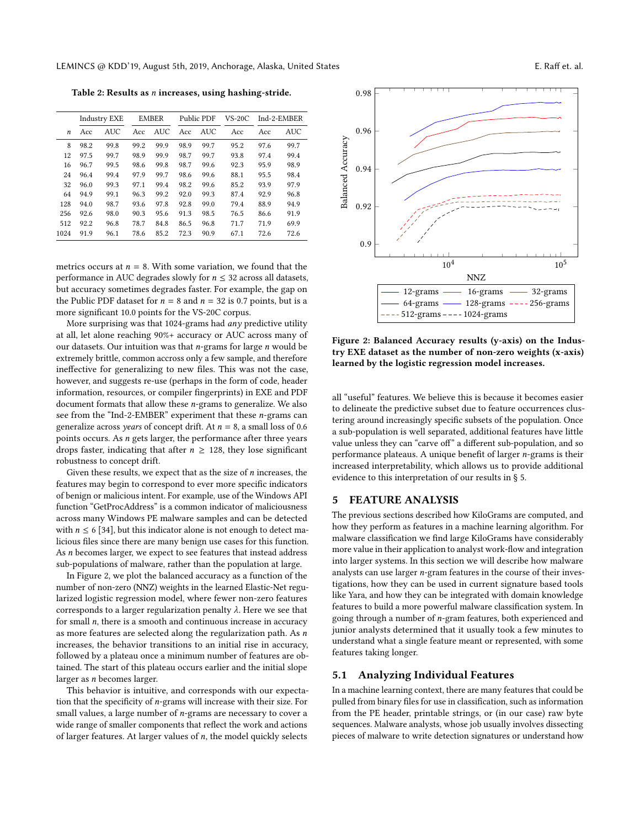LEMINCS @ KDD'19, August 5th, 2019, Anchorage, Alaska, United States **E. Raff et. al.** E. Raff et. al.

Table 2: Results as n increases, using hashing-stride.

|      | <b>Industry EXE</b> |            | <b>EMBER</b> |            | Public PDF |            | $VS-20C$ | Ind-2-EMBER |            |
|------|---------------------|------------|--------------|------------|------------|------------|----------|-------------|------------|
| n    | Acc                 | <b>AUC</b> | Acc          | <b>AUC</b> | Acc        | <b>AUC</b> | Acc      | Acc         | <b>AUC</b> |
| 8    | 98.2                | 99.8       | 99.2         | 99.9       | 98.9       | 99.7       | 95.2     | 97.6        | 99.7       |
| 12   | 97.5                | 99.7       | 98.9         | 99.9       | 98.7       | 99.7       | 93.8     | 97.4        | 99.4       |
| 16   | 96.7                | 99.5       | 98.6         | 99.8       | 98.7       | 99.6       | 92.3     | 95.9        | 98.9       |
| 24   | 96.4                | 99.4       | 97.9         | 99.7       | 98.6       | 99.6       | 88.1     | 95.5        | 98.4       |
| 32   | 96.0                | 99.3       | 97.1         | 99.4       | 98.2       | 99.6       | 85.2     | 93.9        | 97.9       |
| 64   | 94.9                | 99.1       | 96.3         | 99.2       | 92.0       | 99.3       | 87.4     | 92.9        | 96.8       |
| 128  | 94.0                | 98.7       | 93.6         | 97.8       | 92.8       | 99.0       | 79.4     | 88.9        | 94.9       |
| 256  | 92.6                | 98.0       | 90.3         | 95.6       | 91.3       | 98.5       | 76.5     | 86.6        | 91.9       |
| 512  | 92.2                | 96.8       | 78.7         | 84.8       | 86.5       | 96.8       | 71.7     | 71.9        | 69.9       |
| 1024 | 91.9                | 96.1       | 78.6         | 85.2       | 72.3       | 90.9       | 67.1     | 72.6        | 72.6       |
|      |                     |            |              |            |            |            |          |             |            |

metrics occurs at  $n = 8$ . With some variation, we found that the performance in AUC degrades slowly for  $n \leq 32$  across all datasets, but accuracy sometimes degrades faster. For example, the gap on the Public PDF dataset for  $n = 8$  and  $n = 32$  is 0.7 points, but is a more significant 10.0 points for the VS-20C corpus.

More surprising was that 1024-grams had any predictive utility at all, let alone reaching 90%+ accuracy or AUC across many of our datasets. Our intuition was that  $n$ -grams for large  $n$  would be extremely brittle, common accross only a few sample, and therefore ineffective for generalizing to new files. This was not the case, however, and suggests re-use (perhaps in the form of code, header information, resources, or compiler fingerprints) in EXE and PDF document formats that allow these n-grams to generalize. We also see from the "Ind-2-EMBER" experiment that these n-grams can generalize across years of concept drift. At  $n = 8$ , a small loss of 0.6 points occurs. As n gets larger, the performance after three years drops faster, indicating that after  $n \geq 128$ , they lose significant robustness to concept drift.

Given these results, we expect that as the size of  $n$  increases, the features may begin to correspond to ever more specific indicators of benign or malicious intent. For example, use of the Windows API function "GetProcAddress" is a common indicator of maliciousness across many Windows PE malware samples and can be detected with  $n \leq 6$  [34], but this indicator alone is not enough to detect malicious files since there are many benign use cases for this function. As *n* becomes larger, we expect to see features that instead address sub-populations of malware, rather than the population at large.

In Figure 2, we plot the balanced accuracy as a function of the number of non-zero (NNZ) weights in the learned Elastic-Net regularized logistic regression model, where fewer non-zero features corresponds to a larger regularization penalty  $\lambda$ . Here we see that for small  $n$ , there is a smooth and continuous increase in accuracy as more features are selected along the regularization path. As  $n$ increases, the behavior transitions to an initial rise in accuracy, followed by a plateau once a minimum number of features are obtained. The start of this plateau occurs earlier and the initial slope larger as n becomes larger.

This behavior is intuitive, and corresponds with our expectation that the specificity of n-grams will increase with their size. For small values, a large number of n-grams are necessary to cover a wide range of smaller components that reflect the work and actions of larger features. At larger values of  $n$ , the model quickly selects



Figure 2: Balanced Accuracy results (y-axis) on the Industry EXE dataset as the number of non-zero weights (x-axis) learned by the logistic regression model increases.

all "useful" features. We believe this is because it becomes easier to delineate the predictive subset due to feature occurrences clustering around increasingly specific subsets of the population. Once a sub-population is well separated, additional features have little value unless they can "carve off" a different sub-population, and so performance plateaus. A unique benefit of larger n-grams is their increased interpretability, which allows us to provide additional evidence to this interpretation of our results in § 5.

# 5 FEATURE ANALYSIS

The previous sections described how KiloGrams are computed, and how they perform as features in a machine learning algorithm. For malware classification we find large KiloGrams have considerably more value in their application to analyst work-flow and integration into larger systems. In this section we will describe how malware analysts can use larger n-gram features in the course of their investigations, how they can be used in current signature based tools like Yara, and how they can be integrated with domain knowledge features to build a more powerful malware classification system. In going through a number of n-gram features, both experienced and junior analysts determined that it usually took a few minutes to understand what a single feature meant or represented, with some features taking longer.

#### 5.1 Analyzing Individual Features

In a machine learning context, there are many features that could be pulled from binary files for use in classification, such as information from the PE header, printable strings, or (in our case) raw byte sequences. Malware analysts, whose job usually involves dissecting pieces of malware to write detection signatures or understand how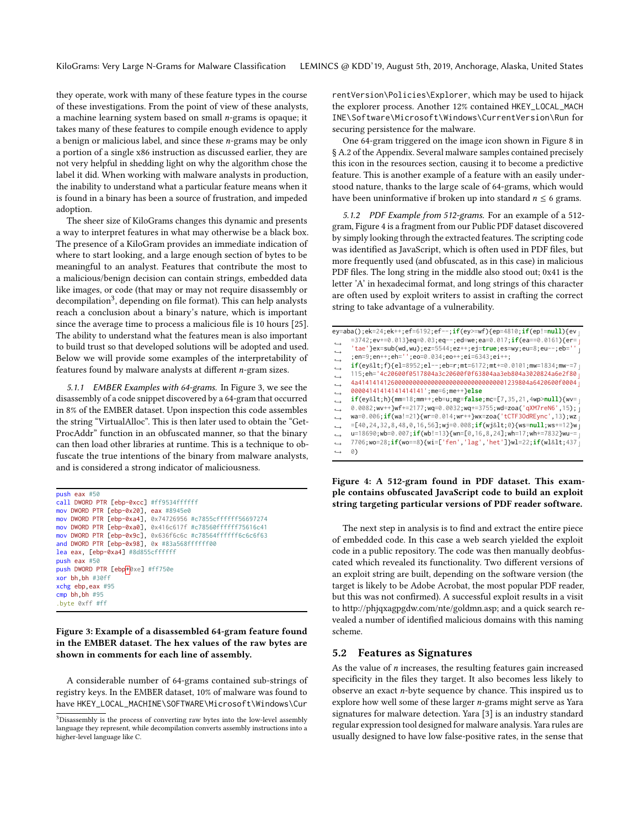they operate, work with many of these feature types in the course of these investigations. From the point of view of these analysts, a machine learning system based on small n-grams is opaque; it takes many of these features to compile enough evidence to apply a benign or malicious label, and since these n-grams may be only a portion of a single x86 instruction as discussed earlier, they are not very helpful in shedding light on why the algorithm chose the label it did. When working with malware analysts in production, the inability to understand what a particular feature means when it is found in a binary has been a source of frustration, and impeded adoption.

The sheer size of KiloGrams changes this dynamic and presents a way to interpret features in what may otherwise be a black box. The presence of a KiloGram provides an immediate indication of where to start looking, and a large enough section of bytes to be meaningful to an analyst. Features that contribute the most to a malicious/benign decision can contain strings, embedded data like images, or code (that may or may not require disassembly or decompilation<sup>3</sup>, depending on file format). This can help analysts reach a conclusion about a binary's nature, which is important since the average time to process a malicious file is 10 hours [25]. The ability to understand what the features mean is also important to build trust so that developed solutions will be adopted and used. Below we will provide some examples of the interpretability of features found by malware analysts at different n-gram sizes.

5.1.1 EMBER Examples with 64-grams. In Figure 3, we see the disassembly of a code snippet discovered by a 64-gram that occurred in 8% of the EMBER dataset. Upon inspection this code assembles the string "VirtualAlloc". This is then later used to obtain the "Get-ProcAddr" function in an obfuscated manner, so that the binary can then load other libraries at runtime. This is a technique to obfuscate the true intentions of the binary from malware analysts, and is considered a strong indicator of maliciousness.

```
push eax #50
call DWORD PTR [ebp-0xcc] #ff9534ffffff
mov DWORD PTR [ebp-0x20], eax #8945e0
mov DWORD PTR [ebp-0xa4], 0x74726956 #c7855cffffff56697274
mov DWORD PTR [ebp-0xa0], 0x416c617f #c78560ffffff75616c41
mov DWORD PTR [ebp-0x9c], 0x636f6c6c #c78564ffffff6c6c6f63
and DWORD PTR [ebp-0x98], 0x #83a568ffffff00
lea eax, [ebp-0xa4] #8d855cffffff
push eax #50
push DWORD PTR [ebp|+0xe] #ff750e
xor bh,bh #30ff
xchg ebp,eax #95
cmp bh,bh #95
.byte 0xff #ff
```
#### Figure 3: Example of a disassembled 64-gram feature found in the EMBER dataset. The hex values of the raw bytes are shown in comments for each line of assembly.

A considerable number of 64-grams contained sub-strings of registry keys. In the EMBER dataset, 10% of malware was found to have HKEY\_LOCAL\_MACHINE\SOFTWARE\Microsoft\Windows\Cur

rentVersion\Policies\Explorer, which may be used to hijack the explorer process. Another 12% contained HKEY\_LOCAL\_MACH INE\Software\Microsoft\Windows\CurrentVersion\Run for securing persistence for the malware.

One 64-gram triggered on the image icon shown in Figure 8 in § A.2 of the Appendix. Several malware samples contained precisely this icon in the resources section, causing it to become a predictive feature. This is another example of a feature with an easily understood nature, thanks to the large scale of 64-grams, which would have been uninformative if broken up into standard  $n \leq 6$  grams.

5.1.2 PDF Example from 512-grams. For an example of a 512 gram, Figure 4 is a fragment from our Public PDF dataset discovered by simply looking through the extracted features. The scripting code was identified as JavaScript, which is often used in PDF files, but more frequently used (and obfuscated, as in this case) in malicious PDF files. The long string in the middle also stood out; 0x41 is the letter 'A' in hexadecimal format, and long strings of this character are often used by exploit writers to assist in crafting the correct string to take advantage of a vulnerability.

```
ey=aba();ek=24;ek++;ef=6192;ef--;if(ey>=wf){ep=4810;if(ep!=null){ev ⌋
     =3742;ev+=0.013}eq=0.03;eq--;ed=we;ea=0.017;if(ea==0.0161){er=
      'tae'}ex=sub(wd,wu);ez=5544;ez++;ej=true;es=wy;eu=8;eu--;eb='' ⌋
      ;en=9;en++;eh='';eo=0.034;eo++;ei=6343;ei++;
     if(ey&1t;f){el=8952;el--;eb=r;mt=6172;mt+=0.0101;mw=1834;mw-=7
     115;eh='4c20600f0517804a3c20600f0f63804aa3eb804a3020824a6e2f80 ⌋
     4a41414141260000000000000000000000000000001239804a6420600f0004 ⌋
     00004141414141414141';me=6;me++}else
     if(exp<lt; h){mm=18;mm++;eb=u;mg=false;mc=[7,35,21,4wp>null){wv=}0.0082;wv++}wf+=2177;wq=0.0032;wq+=3755;wd=zoa('qXM7reN6',15);
     wa=0.006;if(wa!=21){wr=0.014;wr++}wx=zoa('tCTF3OdREync',13);wz ⌋
     =[40, 24, 32, 8, 48, 0, 16, 56];wj=0.008;if(wj<0){ws=null;ws+=12}w
     u=18690;wb=0.007;if(wb!=13){wn=[0,16,8,24];wh=17;wh+=7832}wu-=
     7706;wo=28;if(wo==8){wi=['fen','lag','het']}wl=22;if(wl<437 ⌋
     0)
\rightarrow\hookrightarrow\longleftrightarrow\hookrightarrow\rightarrow\rightarrow\rightarrow\rightarrow\rightarrow,→
 ,→
,→
,→
\hookrightarrow
```
#### Figure 4: A 512-gram found in PDF dataset. This example contains obfuscated JavaScript code to build an exploit string targeting particular versions of PDF reader software.

The next step in analysis is to find and extract the entire piece of embedded code. In this case a web search yielded the exploit code in a public repository. The code was then manually deobfuscated which revealed its functionality. Two different versions of an exploit string are built, depending on the software version (the target is likely to be Adobe Acrobat, the most popular PDF reader, but this was not confirmed). A successful exploit results in a visit to http://phjqxagpgdw.com/nte/goldmn.asp; and a quick search revealed a number of identified malicious domains with this naming scheme.

#### 5.2 Features as Signatures

As the value of  $n$  increases, the resulting features gain increased specificity in the files they target. It also becomes less likely to observe an exact n-byte sequence by chance. This inspired us to explore how well some of these larger n-grams might serve as Yara signatures for malware detection. Yara [3] is an industry standard regular expression tool designed for malware analysis. Yara rules are usually designed to have low false-positive rates, in the sense that

<sup>&</sup>lt;sup>3</sup>Disassembly is the process of converting raw bytes into the low-level assembly language they represent, while decompilation converts assembly instructions into a higher-level language like C.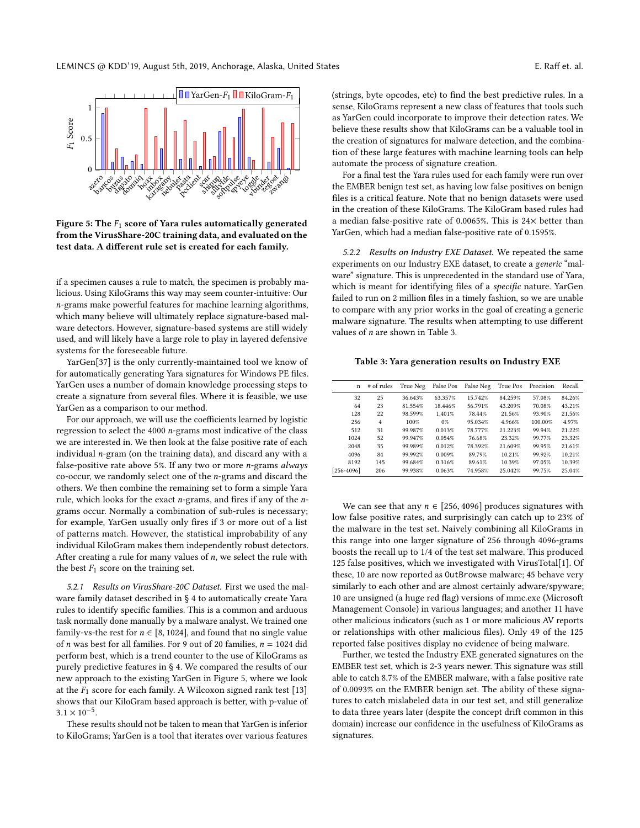

Figure 5: The  $F_1$  score of Yara rules automatically generated from the VirusShare-20C training data, and evaluated on the test data. A different rule set is created for each family.

if a specimen causes a rule to match, the specimen is probably malicious. Using KiloGrams this way may seem counter-intuitive: Our n-grams make powerful features for machine learning algorithms, which many believe will ultimately replace signature-based malware detectors. However, signature-based systems are still widely used, and will likely have a large role to play in layered defensive systems for the foreseeable future.

YarGen[37] is the only currently-maintained tool we know of for automatically generating Yara signatures for Windows PE files. YarGen uses a number of domain knowledge processing steps to create a signature from several files. Where it is feasible, we use YarGen as a comparison to our method.

For our approach, we will use the coefficients learned by logistic regression to select the 4000 n-grams most indicative of the class we are interested in. We then look at the false positive rate of each individual n-gram (on the training data), and discard any with a false-positive rate above 5%. If any two or more  $n$ -grams always co-occur, we randomly select one of the n-grams and discard the others. We then combine the remaining set to form a simple Yara rule, which looks for the exact n-grams, and fires if any of the ngrams occur. Normally a combination of sub-rules is necessary; for example, YarGen usually only fires if 3 or more out of a list of patterns match. However, the statistical improbability of any individual KiloGram makes them independently robust detectors. After creating a rule for many values of  $n$ , we select the rule with the best  $F_1$  score on the training set.

5.2.1 Results on VirusShare-20C Dataset. First we used the malware family dataset described in § 4 to automatically create Yara rules to identify specific families. This is a common and arduous task normally done manually by a malware analyst. We trained one family-vs-the rest for  $n \in [8, 1024]$ , and found that no single value of *n* was best for all families. For 9 out of 20 families,  $n = 1024$  did perform best, which is a trend counter to the use of KiloGrams as purely predictive features in § 4. We compared the results of our new approach to the existing YarGen in Figure 5, where we look at the  $F_1$  score for each family. A Wilcoxon signed rank test [13] shows that our KiloGram based approach is better, with p-value of  $3.1 \times 10^{-5}$ .<br>These re

These results should not be taken to mean that YarGen is inferior to KiloGrams; YarGen is a tool that iterates over various features (strings, byte opcodes, etc) to find the best predictive rules. In a sense, KiloGrams represent a new class of features that tools such as YarGen could incorporate to improve their detection rates. We believe these results show that KiloGrams can be a valuable tool in the creation of signatures for malware detection, and the combination of these large features with machine learning tools can help automate the process of signature creation.

For a final test the Yara rules used for each family were run over the EMBER benign test set, as having low false positives on benign files is a critical feature. Note that no benign datasets were used in the creation of these KiloGrams. The KiloGram based rules had a median false-positive rate of 0.0065%. This is 24× better than YarGen, which had a median false-positive rate of 0.1595%.

5.2.2 Results on Industry EXE Dataset. We repeated the same experiments on our Industry EXE dataset, to create a generic "malware" signature. This is unprecedented in the standard use of Yara, which is meant for identifying files of a specific nature. YarGen failed to run on 2 million files in a timely fashion, so we are unable to compare with any prior works in the goal of creating a generic malware signature. The results when attempting to use different values of  $n$  are shown in Table 3.

#### Table 3: Yara generation results on Industry EXE

| $\mathbf n$    | $#$ of rules | True Neg | False Pos | False Neg | True Pos | Precision | Recall |
|----------------|--------------|----------|-----------|-----------|----------|-----------|--------|
| 32             | 25           | 36.643%  | 63.357%   | 15.742%   | 84.259%  | 57.08%    | 84.26% |
| 64             | 23           | 81.554%  | 18.446%   | 56.791%   | 43.209%  | 70.08%    | 43.21% |
| 128            | 22           | 98.599%  | 1.401%    | 78.44%    | 21.56%   | 93.90%    | 21.56% |
| 256            | 4            | 100%     | $0\%$     | 95.034%   | 4.966%   | 100.00%   | 4.97%  |
| 512            | 31           | 99.987%  | 0.013%    | 78.777%   | 21.223%  | 99.94%    | 21.22% |
| 1024           | 52           | 99.947%  | 0.054%    | 76.68%    | 23.32%   | 99.77%    | 23.32% |
| 2048           | 35           | 99.989%  | 0.012%    | 78.392%   | 21.609%  | 99.95%    | 21.61% |
| 4096           | 84           | 99.992%  | 0.009%    | 89.79%    | 10.21%   | 99.92%    | 10.21% |
| 8192           | 145          | 99.684%  | 0.316%    | 89.61%    | 10.39%   | 97.05%    | 10.39% |
| $[256 - 4096]$ | 206          | 99.938%  | 0.063%    | 74.958%   | 25.042%  | 99.75%    | 25.04% |

We can see that any  $n \in [256, 4096]$  produces signatures with low false positive rates, and surprisingly can catch up to 23% of the malware in the test set. Naively combining all KiloGrams in this range into one larger signature of 256 through 4096-grams boosts the recall up to 1/4 of the test set malware. This produced 125 false positives, which we investigated with VirusTotal[1]. Of these, 10 are now reported as OutBrowse malware; 45 behave very similarly to each other and are almost certainly adware/spyware; 10 are unsigned (a huge red flag) versions of mmc.exe (Microsoft Management Console) in various languages; and another 11 have other malicious indicators (such as 1 or more malicious AV reports or relationships with other malicious files). Only 49 of the 125 reported false positives display no evidence of being malware.

Further, we tested the Industry EXE generated signatures on the EMBER test set, which is 2-3 years newer. This signature was still able to catch 8.7% of the EMBER malware, with a false positive rate of 0.0093% on the EMBER benign set. The ability of these signatures to catch mislabeled data in our test set, and still generalize to data three years later (despite the concept drift common in this domain) increase our confidence in the usefulness of KiloGrams as signatures.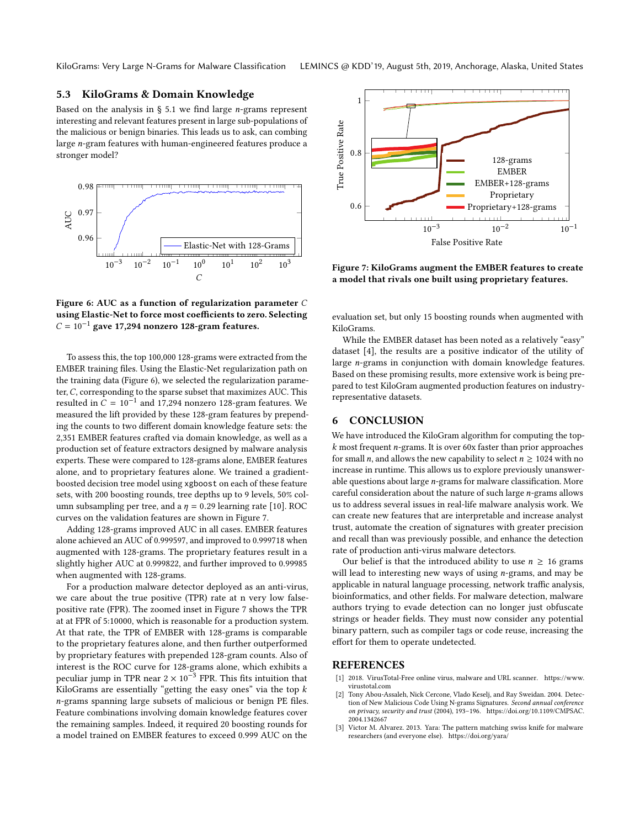## 5.3 KiloGrams & Domain Knowledge

Based on the analysis in  $\S$  5.1 we find large *n*-grams represent interesting and relevant features present in large sub-populations of the malicious or benign binaries. This leads us to ask, can combing large n-gram features with human-engineered features produce a stronger model?



Figure 6: AUC as a function of regularization parameter C using Elastic-Net to force most coefficients to zero. Selecting  $C = 10^{-1}$  gave 17,294 nonzero 128-gram features.

To assess this, the top 100,000 128-grams were extracted from the EMBER training files. Using the Elastic-Net regularization path on the training data (Figure 6), we selected the regularization parameter, C, corresponding to the sparse subset that maximizes AUC. This resulted in  $\hat{C} = 10^{-1}$  and 17,294 nonzero 128-gram features. We measured the lift provided by these 128-gram features by prependmeasured the lift provided by these 128-gram features by prepending the counts to two different domain knowledge feature sets: the 2,351 EMBER features crafted via domain knowledge, as well as a production set of feature extractors designed by malware analysis experts. These were compared to 128-grams alone, EMBER features alone, and to proprietary features alone. We trained a gradientboosted decision tree model using xgboost on each of these feature sets, with 200 boosting rounds, tree depths up to 9 levels, 50% column subsampling per tree, and a  $\eta = 0.29$  learning rate [10]. ROC curves on the validation features are shown in Figure 7.

Adding 128-grams improved AUC in all cases. EMBER features alone achieved an AUC of 0.999597, and improved to 0.999718 when augmented with 128-grams. The proprietary features result in a slightly higher AUC at 0.999822, and further improved to 0.99985 when augmented with 128-grams.

For a production malware detector deployed as an anti-virus, we care about the true positive (TPR) rate at n very low falsepositive rate (FPR). The zoomed inset in Figure 7 shows the TPR at at FPR of 5:10000, which is reasonable for a production system. At that rate, the TPR of EMBER with 128-grams is comparable to the proprietary features alone, and then further outperformed by proprietary features with prepended 128-gram counts. Also of interest is the ROC curve for 128-grams alone, which exhibits a peculiar jump in TPR near  $2 \times 10^{-3}$  FPR. This fits intuition that KiloGrams are essentially "getting the easy ones" via the top  $k$ n-grams spanning large subsets of malicious or benign PE files. Feature combinations involving domain knowledge features cover the remaining samples. Indeed, it required 20 boosting rounds for a model trained on EMBER features to exceed 0.999 AUC on the



Figure 7: KiloGrams augment the EMBER features to create a model that rivals one built using proprietary features.

evaluation set, but only 15 boosting rounds when augmented with KiloGrams.

While the EMBER dataset has been noted as a relatively "easy" dataset [4], the results are a positive indicator of the utility of large n-grams in conjunction with domain knowledge features. Based on these promising results, more extensive work is being prepared to test KiloGram augmented production features on industryrepresentative datasets.

## 6 CONCLUSION

We have introduced the KiloGram algorithm for computing the top $k$  most frequent *n*-grams. It is over 60x faster than prior approaches for small *n*, and allows the new capability to select  $n \ge 1024$  with no increase in runtime. This allows us to explore previously unanswerable questions about large n-grams for malware classification. More careful consideration about the nature of such large n-grams allows us to address several issues in real-life malware analysis work. We can create new features that are interpretable and increase analyst trust, automate the creation of signatures with greater precision and recall than was previously possible, and enhance the detection rate of production anti-virus malware detectors.

Our belief is that the introduced ability to use  $n \geq 16$  grams will lead to interesting new ways of using  $n$ -grams, and may be applicable in natural language processing, network traffic analysis, bioinformatics, and other fields. For malware detection, malware authors trying to evade detection can no longer just obfuscate strings or header fields. They must now consider any potential binary pattern, such as compiler tags or code reuse, increasing the effort for them to operate undetected.

#### REFERENCES

- [1] 2018. VirusTotal-Free online virus, malware and URL scanner. https://www. virustotal.com
- [2] Tony Abou-Assaleh, Nick Cercone, Vlado Keselj, and Ray Sweidan. 2004. Detection of New Malicious Code Using N-grams Signatures. Second annual conference on privacy, security and trust (2004), 193–196. https://doi.org/10.1109/CMPSAC. 2004.1342667
- [3] Victor M. Alvarez. 2013. Yara: The pattern matching swiss knife for malware researchers (and everyone else). https://doi.org/yara/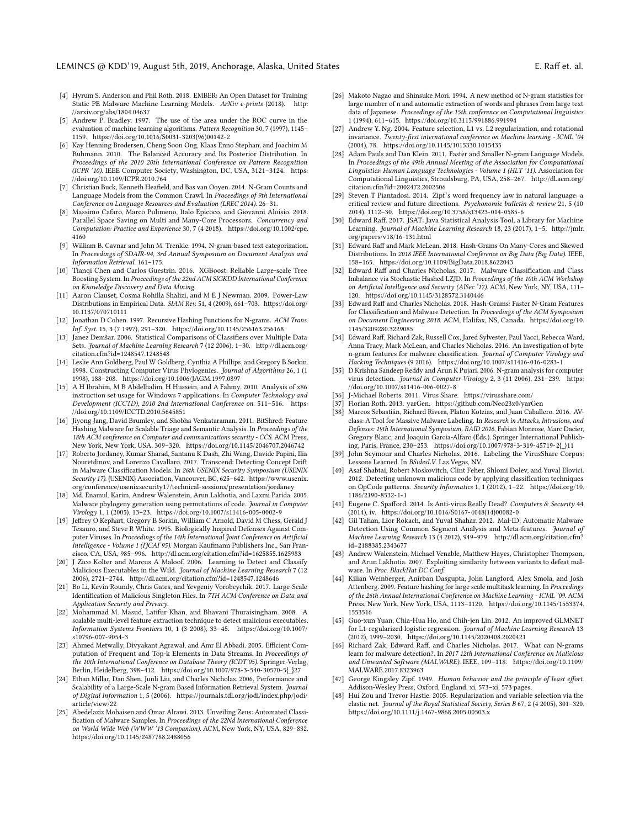#### LEMINCS @ KDD'19, August 5th, 2019, Anchorage, Alaska, United States **E. Raff et. al.** E. Raff et. al.

- [4] Hyrum S. Anderson and Phil Roth. 2018. EMBER: An Open Dataset for Training Static PE Malware Machine Learning Models. ArXiv e-prints (2018). http: //arxiv.org/abs/1804.04637
- [5] Andrew P. Bradley. 1997. The use of the area under the ROC curve in the evaluation of machine learning algorithms. Pattern Recognition 30, 7 (1997), 1145-1159. https://doi.org/10.1016/S0031-3203(96)00142-2
- [6] Kay Henning Brodersen, Cheng Soon Ong, Klaas Enno Stephan, and Joachim M Buhmann. 2010. The Balanced Accuracy and Its Posterior Distribution. In Proceedings of the 2010 20th International Conference on Pattern Recognition (ICPR '10). IEEE Computer Society, Washington, DC, USA, 3121–3124. https: //doi.org/10.1109/ICPR.2010.764
- [7] Christian Buck, Kenneth Heafield, and Bas van Ooyen. 2014. N-Gram Counts and Language Models from the Common Crawl. In Proceedings of 9th International Conference on Language Resources and Evaluation (LREC 2014). 26–31.
- [8] Massimo Cafaro, Marco Pulimeno, Italo Epicoco, and Giovanni Aloisio. 2018. Parallel Space Saving on Multi and Many-Core Processors. Concurrency and Computation: Practice and Experience 30, 7 (4 2018). https://doi.org/10.1002/cpe. 4160
- [9] William B. Cavnar and John M. Trenkle. 1994. N-gram-based text categorization. In Proceedings of SDAIR-94, 3rd Annual Symposium on Document Analysis and Information Retrieval. 161–175.
- [10] Tianqi Chen and Carlos Guestrin. 2016. XGBoost: Reliable Large-scale Tree Boosting System. In Proceedings of the 22nd ACM SIGKDD International Conference on Knowledge Discovery and Data Mining.
- [11] Aaron Clauset, Cosma Rohilla Shalizi, and M E J Newman. 2009. Power-Law Distributions in Empirical Data. SIAM Rev. 51, 4 (2009), 661–703. https://doi.org/ 10.1137/070710111
- [12] Jonathan D Cohen. 1997. Recursive Hashing Functions for N-grams. ACM Trans. Inf. Syst. 15, 3 (7 1997), 291–320. https://doi.org/10.1145/256163.256168
- [13] Janez Demšar. 2006. Statistical Comparisons of Classifiers over Multiple Data Sets. Journal of Machine Learning Research 7 (12 2006), 1–30. http://dl.acm.org/ citation.cfm?id=1248547.1248548
- [14] Leslie Ann Goldberg, Paul W Goldberg, Cynthia A Phillips, and Gregory B Sorkin. 1998. Constructing Computer Virus Phylogenies. Journal of Algorithms 26, 1 (1 1998), 188–208. https://doi.org/10.1006/JAGM.1997.0897
- [15] A H Ibrahim, M B Abdelhalim, H Hussein, and A Fahmy. 2010. Analysis of x86 instruction set usage for Windows 7 applications. In Computer Technology and Development (ICCTD), 2010 2nd International Conference on. 511–516. https: //doi.org/10.1109/ICCTD.2010.5645851
- [16] Jiyong Jang, David Brumley, and Shobha Venkataraman. 2011. BitShred: Feature Hashing Malware for Scalable Triage and Semantic Analysis. In Proceedings of the 18th ACM conference on Computer and communications security - CCS. ACM Press, New York, New York, USA, 309–320. https://doi.org/10.1145/2046707.2046742
- [17] Roberto Jordaney, Kumar Sharad, Santanu K Dash, Zhi Wang, Davide Papini, Ilia Nouretdinov, and Lorenzo Cavallaro. 2017. Transcend: Detecting Concept Drift in Malware Classification Models. In 26th USENIX Security Symposium (USENIX Security 17). {USENIX} Association, Vancouver, BC, 625–642. https://www.usenix. org/conference/usenixsecurity17/technical-sessions/presentation/jordaney
- [18] Md. Enamul. Karim, Andrew Walenstein, Arun Lakhotia, and Laxmi Parida. 2005. Malware phylogeny generation using permutations of code. Journal in Computer Virology 1, 1 (2005), 13–23. https://doi.org/10.1007/s11416-005-0002-9
- [19] Jeffrey O Kephart, Gregory B Sorkin, William C Arnold, David M Chess, Gerald J Tesauro, and Steve R White. 1995. Biologically Inspired Defenses Against Computer Viruses. In Proceedings of the 14th International Joint Conference on Artificial Intelligence - Volume 1 (IJCAI'95). Morgan Kaufmann Publishers Inc., San Francisco, CA, USA, 985–996. http://dl.acm.org/citation.cfm?id=1625855.1625983
- [20] J Zico Kolter and Marcus A Maloof. 2006. Learning to Detect and Classify Malicious Executables in the Wild. Journal of Machine Learning Research 7 (12 2006), 2721–2744. http://dl.acm.org/citation.cfm?id=1248547.1248646
- [21] Bo Li, Kevin Roundy, Chris Gates, and Yevgeniy Vorobeychik. 2017. Large-Scale Identification of Malicious Singleton Files. In 7TH ACM Conference on Data and Application Security and Privacy.
- [22] Mohammad M. Masud, Latifur Khan, and Bhavani Thuraisingham. 2008. A scalable multi-level feature extraction technique to detect malicious executables. Information Systems Frontiers 10, 1 (3 2008), 33–45. https://doi.org/10.1007/ s10796-007-9054-3
- [23] Ahmed Metwally, Divyakant Agrawal, and Amr El Abbadi. 2005. Efficient Computation of Frequent and Top-k Elements in Data Streams. In Proceedings of the 10th International Conference on Database Theory (ICDT'05). Springer-Verlag, Berlin, Heidelberg, 398–412. https://doi.org/10.1007/978-3-540-30570-5{\_}27
- [24] Ethan Millar, Dan Shen, Junli Liu, and Charles Nicholas. 2006. Performance and Scalability of a Large-Scale N-gram Based Information Retrieval System. Journal of Digital Information 1, 5 (2006). https://journals.tdl.org/jodi/index.php/jodi/ article/view/22
- [25] Abedelaziz Mohaisen and Omar Alrawi. 2013. Unveiling Zeus: Automated Classification of Malware Samples. In Proceedings of the 22Nd International Conference on World Wide Web (WWW '13 Companion). ACM, New York, NY, USA, 829–832. https://doi.org/10.1145/2487788.2488056
- [26] Makoto Nagao and Shinsuke Mori. 1994. A new method of N-gram statistics for large number of n and automatic extraction of words and phrases from large text data of Japanese. Proceedings of the 15th conference on Computational linguistics 1 (1994), 611–615. https://doi.org/10.3115/991886.991994
- [27] Andrew Y. Ng. 2004. Feature selection, L1 vs. L2 regularization, and rotational invariance. Twenty-first international conference on Machine learning - ICML '04 (2004), 78. https://doi.org/10.1145/1015330.1015435
- [28] Adam Pauls and Dan Klein. 2011. Faster and Smaller N-gram Language Models. In Proceedings of the 49th Annual Meeting of the Association for Computational Linguistics: Human Language Technologies - Volume 1 (HLT '11). Association for Computational Linguistics, Stroudsburg, PA, USA, 258–267. http://dl.acm.org/ citation.cfm?id=2002472.2002506
- [29] Steven T Piantadosi. 2014. Zipf's word frequency law in natural language: a critical review and future directions. Psychonomic bulletin & review 21, 5 (10 2014), 1112–30. https://doi.org/10.3758/s13423-014-0585-6
- [30] Edward Raff. 2017. JSAT: Java Statistical Analysis Tool, a Library for Machine Learning. Journal of Machine Learning Research 18, 23 (2017), 1–5. http://jmlr. org/papers/v18/16-131.html
- [31] Edward Raff and Mark McLean. 2018. Hash-Grams On Many-Cores and Skewed Distributions. In 2018 IEEE International Conference on Big Data (Big Data). IEEE, 158–165. https://doi.org/10.1109/BigData.2018.8622043
- [32] Edward Raff and Charles Nicholas. 2017. Malware Classification and Class Imbalance via Stochastic Hashed LZJD. In Proceedings of the 10th ACM Workshop on Artificial Intelligence and Security (AISec '17). ACM, New York, NY, USA, 111– 120. https://doi.org/10.1145/3128572.3140446
- [33] Edward Raff and Charles Nicholas. 2018. Hash-Grams: Faster N-Gram Features for Classification and Malware Detection. In Proceedings of the ACM Symposium on Document Engineering 2018. ACM, Halifax, NS, Canada. https://doi.org/10. 1145/3209280.3229085
- [34] Edward Raff, Richard Zak, Russell Cox, Jared Sylvester, Paul Yacci, Rebecca Ward, Anna Tracy, Mark McLean, and Charles Nicholas. 2016. An investigation of byte n-gram features for malware classification. Journal of Computer Virology and Hacking Techniques (9 2016). https://doi.org/10.1007/s11416-016-0283-1
- [35] D Krishna Sandeep Reddy and Arun K Pujari. 2006. N-gram analysis for computer virus detection. Journal in Computer Virology 2, 3 (11 2006), 231–239. https: //doi.org/10.1007/s11416-006-0027-8
- [36] J-Michael Roberts. 2011. Virus Share. https://virusshare.com/
- [37] Florian Roth. 2013. yarGen. https://github.com/Neo23x0/yarGen
- [38] Marcos Sebastián, Richard Rivera, Platon Kotzias, and Juan Caballero. 2016. AVclass: A Tool for Massive Malware Labeling. In Research in Attacks, Intrusions, and Defenses: 19th International Symposium, RAID 2016, Fabian Monrose, Marc Dacier, Gregory Blanc, and Joaquin Garcia-Alfaro (Eds.). Springer International Publishing, Paris, France, 230–253. https://doi.org/10.1007/978-3-319-45719-2{\_}11
- [39] John Seymour and Charles Nicholas. 2016. Labeling the VirusShare Corpus: Lessons Learned. In BSidesLV. Las Vegas, NV.
- [40] Asaf Shabtai, Robert Moskovitch, Clint Feher, Shlomi Dolev, and Yuval Elovici. 2012. Detecting unknown malicious code by applying classification techniques on OpCode patterns. Security Informatics 1, 1 (2012), 1–22. https://doi.org/10. 1186/2190-8532-1-1
- [41] Eugene C. Spafford. 2014. Is Anti-virus Really Dead? Computers & Security 44 (2014), iv. https://doi.org/10.1016/S0167-4048(14)00082-0
- [42] Gil Tahan, Lior Rokach, and Yuval Shahar. 2012. Mal-ID: Automatic Malware Detection Using Common Segment Analysis and Meta-features. Journal of Machine Learning Research 13 (4 2012), 949–979. http://dl.acm.org/citation.cfm? id=2188385.2343677
- [43] Andrew Walenstein, Michael Venable, Matthew Hayes, Christopher Thompson, and Arun Lakhotia. 2007. Exploiting similarity between variants to defeat malware. In Proc. BlackHat DC Conf.
- [44] Kilian Weinberger, Anirban Dasgupta, John Langford, Alex Smola, and Josh Attenberg. 2009. Feature hashing for large scale multitask learning. In Proceedings of the 26th Annual International Conference on Machine Learning - ICML '09. ACM Press, New York, New York, USA, 1113–1120. https://doi.org/10.1145/1553374. 1553516
- [45] Guo-xun Yuan, Chia-Hua Ho, and Chih-jen Lin. 2012. An improved GLMNET for L1-regularized logistic regression. Journal of Machine Learning Research 13 (2012), 1999–2030. https://doi.org/10.1145/2020408.2020421
- [46] Richard Zak, Edward Raff, and Charles Nicholas. 2017. What can N-grams learn for malware detection?. In 2017 12th International Conference on Malicious and Unwanted Software (MALWARE). IEEE, 109–118. https://doi.org/10.1109/ MALWARE.2017.8323963
- [47] George Kingsley Zipf. 1949. Human behavior and the principle of least effort. Addison-Wesley Press, Oxford, England. xi, 573–xi, 573 pages.
- [48] Hui Zou and Trevor Hastie. 2005. Regularization and variable selection via the elastic net. Journal of the Royal Statistical Society, Series B 67, 2 (4 2005), 301–320. https://doi.org/10.1111/j.1467-9868.2005.00503.x